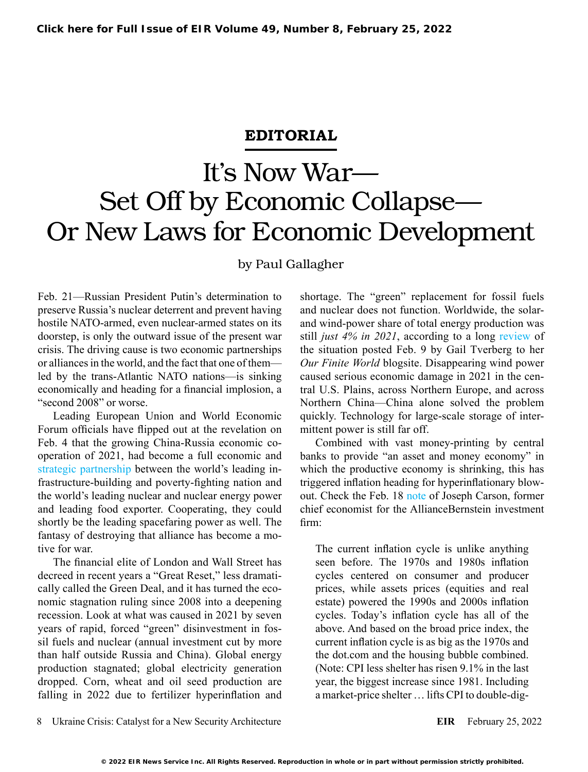## **EDITORIAL**

## It's Now War— Set Off by Economic Collapse— Or New Laws for Economic Development

by Paul Gallagher

Feb. 21—Russian President Putin's determination to preserve Russia's nuclear deterrent and prevent having hostile NATO-armed, even nuclear-armed states on its doorstep, is only the outward issue of the present war crisis. The driving cause is two economic partnerships or alliances in the world, and the fact that one of them led by the trans-Atlantic NATO nations—is sinking economically and heading for a financial implosion, a "second 2008" or worse.

Leading European Union and World Economic Forum officials have flipped out at the revelation on Feb. 4 that the growing China-Russia economic cooperation of 2021, had become a full economic and [strategic partnership](https://larouchepub.com/other/editorials/2022/4906-china_russia_announce_new_worl.html) between the world's leading infrastructure-building and poverty-fighting nation and the world's leading nuclear and nuclear energy power and leading food exporter. Cooperating, they could shortly be the leading spacefaring power as well. The fantasy of destroying that alliance has become a motive for war.

The financial elite of London and Wall Street has decreed in recent years a "Great Reset," less dramatically called the Green Deal, and it has turned the economic stagnation ruling since 2008 into a deepening recession. Look at what was caused in 2021 by seven years of rapid, forced "green" disinvestment in fossil fuels and nuclear (annual investment cut by more than half outside Russia and China). Global energy production stagnated; global electricity generation dropped. Corn, wheat and oil seed production are falling in 2022 due to fertilizer hyperinflation and

shortage. The "green" replacement for fossil fuels and nuclear does not function. Worldwide, the solarand wind-power share of total energy production was still *just 4% in 2021*, according to a long [review](https://ourfiniteworld.com/2022/02/09/limits-to-green-energy-are-becoming-much-clearer/) of the situation posted Feb. 9 by Gail Tverberg to her *Our Finite World* blogsite. Disappearing wind power caused serious economic damage in 2021 in the central U.S. Plains, across Northern Europe, and across Northern China—China alone solved the problem quickly. Technology for large-scale storage of intermittent power is still far off.

Combined with vast money-printing by central banks to provide "an asset and money economy" in which the productive economy is shrinking, this has triggered inflation heading for hyperinflationary blowout. Check the Feb. 18 [note](https://www.thecarsonreport.com/post/the-fed-is-mistaken-it-s-the-removal-of-inflation-that-is-destabilizing-not-late-policy-moves) of Joseph Carson, former chief economist for the AllianceBernstein investment firm:

The current inflation cycle is unlike anything seen before. The 1970s and 1980s inflation cycles centered on consumer and producer prices, while assets prices (equities and real estate) powered the 1990s and 2000s inflation cycles. Today's inflation cycle has all of the above. And based on the broad price index, the current inflation cycle is as big as the 1970s and the dot.com and the housing bubble combined. (Note: CPI less shelter has risen 9.1% in the last year, the biggest increase since 1981. Including a market-price shelter … lifts CPI to double-dig